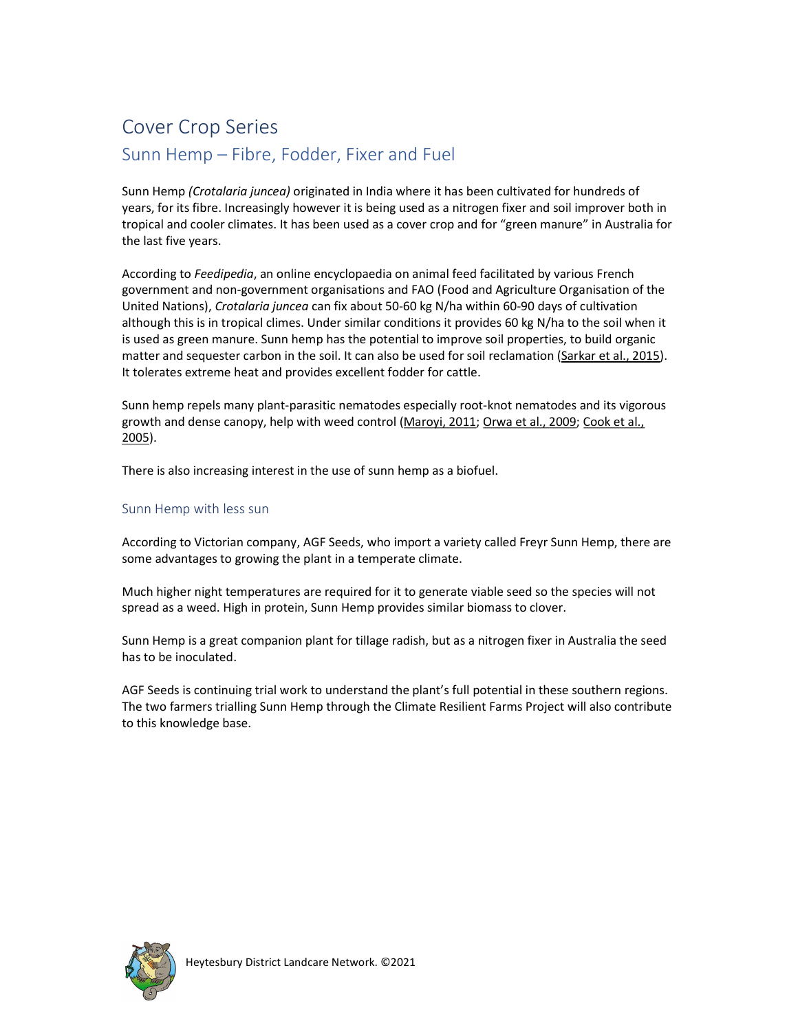## Cover Crop Series Sunn Hemp – Fibre, Fodder, Fixer and Fuel

Sunn Hemp (Crotalaria juncea) originated in India where it has been cultivated for hundreds of years, for its fibre. Increasingly however it is being used as a nitrogen fixer and soil improver both in tropical and cooler climates. It has been used as a cover crop and for "green manure" in Australia for the last five years.

According to Feedipedia, an online encyclopaedia on animal feed facilitated by various French government and non-government organisations and FAO (Food and Agriculture Organisation of the United Nations), Crotalaria juncea can fix about 50-60 kg N/ha within 60-90 days of cultivation although this is in tropical climes. Under similar conditions it provides 60 kg N/ha to the soil when it is used as green manure. Sunn hemp has the potential to improve soil properties, to build organic matter and sequester carbon in the soil. It can also be used for soil reclamation (Sarkar et al., 2015). It tolerates extreme heat and provides excellent fodder for cattle.

Sunn hemp repels many plant-parasitic nematodes especially root-knot nematodes and its vigorous growth and dense canopy, help with weed control (Maroyi, 2011; Orwa et al., 2009; Cook et al., 2005).

There is also increasing interest in the use of sunn hemp as a biofuel.

## Sunn Hemp with less sun

According to Victorian company, AGF Seeds, who import a variety called Freyr Sunn Hemp, there are some advantages to growing the plant in a temperate climate.

Much higher night temperatures are required for it to generate viable seed so the species will not spread as a weed. High in protein, Sunn Hemp provides similar biomass to clover.

Sunn Hemp is a great companion plant for tillage radish, but as a nitrogen fixer in Australia the seed has to be inoculated.

AGF Seeds is continuing trial work to understand the plant's full potential in these southern regions. The two farmers trialling Sunn Hemp through the Climate Resilient Farms Project will also contribute to this knowledge base.

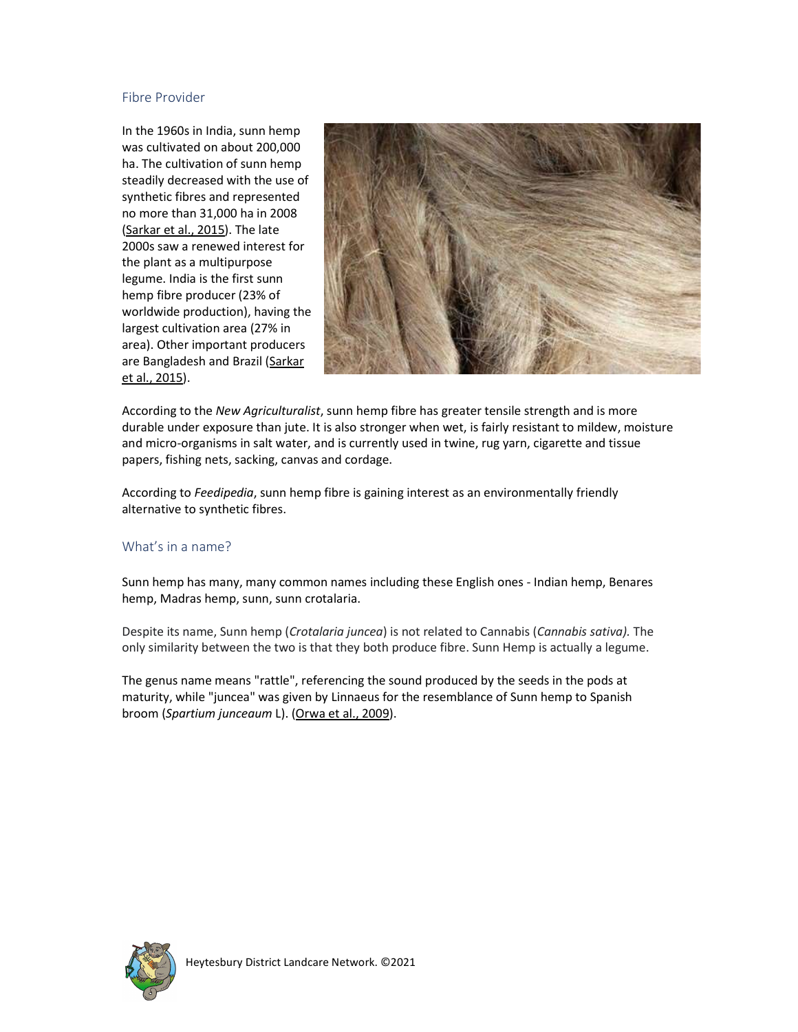## Fibre Provider

In the 1960s in India, sunn hemp was cultivated on about 200,000 ha. The cultivation of sunn hemp steadily decreased with the use of synthetic fibres and represented no more than 31,000 ha in 2008 (Sarkar et al., 2015). The late 2000s saw a renewed interest for the plant as a multipurpose legume. India is the first sunn hemp fibre producer (23% of worldwide production), having the largest cultivation area (27% in area). Other important producers are Bangladesh and Brazil (Sarkar et al., 2015).



According to the New Agriculturalist, sunn hemp fibre has greater tensile strength and is more durable under exposure than jute. It is also stronger when wet, is fairly resistant to mildew, moisture and micro-organisms in salt water, and is currently used in twine, rug yarn, cigarette and tissue papers, fishing nets, sacking, canvas and cordage.

According to Feedipedia, sunn hemp fibre is gaining interest as an environmentally friendly alternative to synthetic fibres.

## What's in a name?

Sunn hemp has many, many common names including these English ones - Indian hemp, Benares hemp, Madras hemp, sunn, sunn crotalaria.

Despite its name, Sunn hemp (Crotalaria juncea) is not related to Cannabis (Cannabis sativa). The only similarity between the two is that they both produce fibre. Sunn Hemp is actually a legume.

The genus name means "rattle", referencing the sound produced by the seeds in the pods at maturity, while "juncea" was given by Linnaeus for the resemblance of Sunn hemp to Spanish broom (Spartium junceaum L). (Orwa et al., 2009).